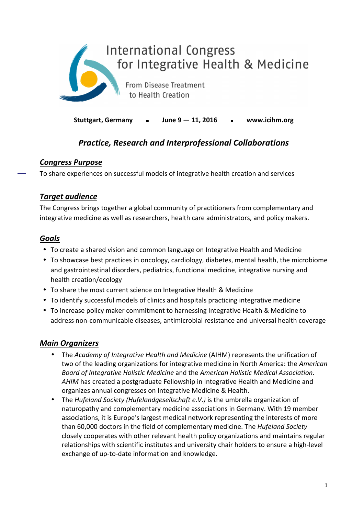

**Stuttgart, Germany June 9 — 11, 2016 www.icihm.org** 

## *Practice, Research and Interprofessional Collaborations*

### *Congress Purpose*

To share experiences on successful models of integrative health creation and services

### *Target audience*

The Congress brings together a global community of practitioners from complementary and integrative medicine as well as researchers, health care administrators, and policy makers.

## *Goals*

- To create a shared vision and common language on Integrative Health and Medicine
- To showcase best practices in oncology, cardiology, diabetes, mental health, the microbiome and gastrointestinal disorders, pediatrics, functional medicine, integrative nursing and health creation/ecology
- To share the most current science on Integrative Health & Medicine
- To identify successful models of clinics and hospitals practicing integrative medicine
- To increase policy maker commitment to harnessing Integrative Health & Medicine to address non-communicable diseases, antimicrobial resistance and universal health coverage

## *Main Organizers*

- The *Academy of Integrative Health and Medicine* (AIHM) represents the unification of two of the leading organizations for integrative medicine in North America: the *American Board of Integrative Holistic Medicine* and the *American Holistic Medical Association*. *AHIM* has created a postgraduate Fellowship in Integrative Health and Medicine and organizes annual congresses on Integrative Medicine & Health.
- The *Hufeland Society (Hufelandgesellschaft e.V.)* is the umbrella organization of naturopathy and complementary medicine associations in Germany. With 19 member associations, it is Europe's largest medical network representing the interests of more than 60,000 doctors in the field of complementary medicine. The *Hufeland Society*  closely cooperates with other relevant health policy organizations and maintains regular relationships with scientific institutes and university chair holders to ensure a high-level exchange of up-to-date information and knowledge.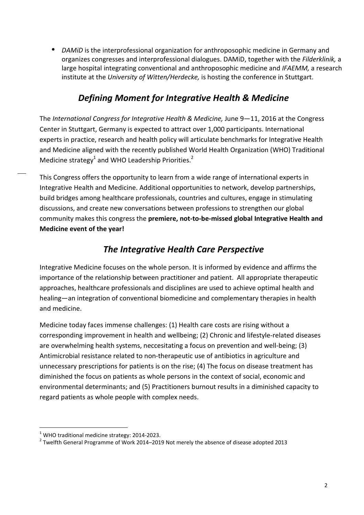• *DAMiD* is the interprofessional organization for anthroposophic medicine in Germany and organizes congresses and interprofessional dialogues. DAMiD, together with the *Filderklinik,* a large hospital integrating conventional and anthroposophic medicine and *IFAEMM,* a research institute at the *University of Witten/Herdecke,* is hosting the conference in Stuttgart.

## *Defining Moment for Integrative Health & Medicine*

The *International Congress for Integrative Health & Medicine,* June 9—11, 2016 at the Congress Center in Stuttgart, Germany is expected to attract over 1,000 participants. International experts in practice, research and health policy will articulate benchmarks for Integrative Health and Medicine aligned with the recently published World Health Organization (WHO) Traditional Medicine strategy<sup>1</sup> and WHO Leadership Priorities.<sup>2</sup>

This Congress offers the opportunity to learn from a wide range of international experts in Integrative Health and Medicine. Additional opportunities to network, develop partnerships, build bridges among healthcare professionals, countries and cultures, engage in stimulating discussions, and create new conversations between professions to strengthen our global community makes this congress the **premiere, not-to-be-missed global Integrative Health and Medicine event of the year!**

## *The Integrative Health Care Perspective*

Integrative Medicine focuses on the whole person. It is informed by evidence and affirms the importance of the relationship between practitioner and patient. All appropriate therapeutic approaches, healthcare professionals and disciplines are used to achieve optimal health and healing—an integration of conventional biomedicine and complementary therapies in health and medicine.

Medicine today faces immense challenges: (1) Health care costs are rising without a corresponding improvement in health and wellbeing; (2) Chronic and lifestyle-related diseases are overwhelming health systems, neccesitating a focus on prevention and well-being; (3) Antimicrobial resistance related to non-therapeutic use of antibiotics in agriculture and unnecessary prescriptions for patients is on the rise; (4) The focus on disease treatment has diminished the focus on patients as whole persons in the context of social, economic and environmental determinants; and (5) Practitioners burnout results in a diminished capacity to regard patients as whole people with complex needs.

l,

 $1$  WHO traditional medicine strategy: 2014-2023.

 $2$  Twelfth General Programme of Work 2014–2019 Not merely the absence of disease adopted 2013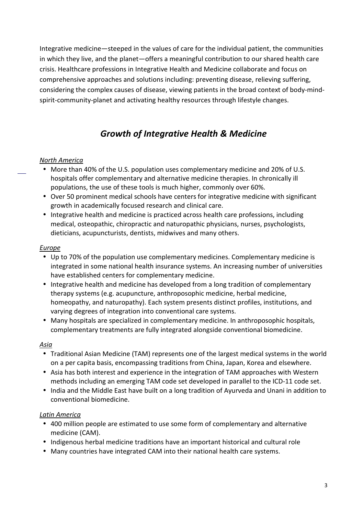Integrative medicine—steeped in the values of care for the individual patient, the communities in which they live, and the planet—offers a meaningful contribution to our shared health care crisis. Healthcare professions in Integrative Health and Medicine collaborate and focus on comprehensive approaches and solutions including: preventing disease, relieving suffering, considering the complex causes of disease, viewing patients in the broad context of body-mindspirit-community-planet and activating healthy resources through lifestyle changes.

# *Growth of Integrative Health & Medicine*

### *North America*

- More than 40% of the U.S. population uses complementary medicine and 20% of U.S. hospitals offer complementary and alternative medicine therapies. In chronically ill populations, the use of these tools is much higher, commonly over 60%.
- Over 50 prominent medical schools have centers for integrative medicine with significant growth in academically focused research and clinical care.
- Integrative health and medicine is practiced across health care professions, including medical, osteopathic, chiropractic and naturopathic physicians, nurses, psychologists, dieticians, acupuncturists, dentists, midwives and many others.

#### *Europe*

- Up to 70% of the population use complementary medicines. Complementary medicine is integrated in some national health insurance systems. An increasing number of universities have established centers for complementary medicine.
- Integrative health and medicine has developed from a long tradition of complementary therapy systems (e.g. acupuncture, anthroposophic medicine, herbal medicine, homeopathy, and naturopathy). Each system presents distinct profiles, institutions, and varying degrees of integration into conventional care systems.
- Many hospitals are specialized in complementary medicine. In anthroposophic hospitals, complementary treatments are fully integrated alongside conventional biomedicine.

### *Asia*

- Traditional Asian Medicine (TAM) represents one of the largest medical systems in the world on a per capita basis, encompassing traditions from China, Japan, Korea and elsewhere.
- Asia has both interest and experience in the integration of TAM approaches with Western methods including an emerging TAM code set developed in parallel to the ICD-11 code set.
- India and the Middle East have built on a long tradition of Ayurveda and Unani in addition to conventional biomedicine.

### *Latin America*

- 400 million people are estimated to use some form of complementary and alternative medicine (CAM).
- Indigenous herbal medicine traditions have an important historical and cultural role
- Many countries have integrated CAM into their national health care systems.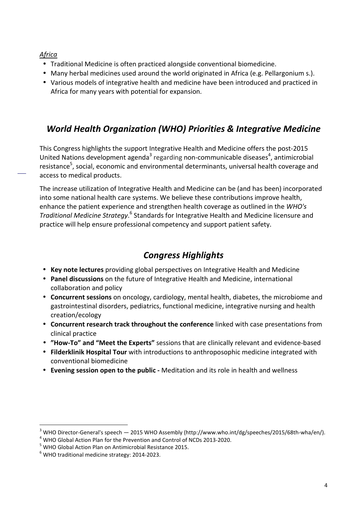### *Africa*

- Traditional Medicine is often practiced alongside conventional biomedicine.
- Many herbal medicines used around the world originated in Africa (e.g. Pellargonium s.).
- Various models of integrative health and medicine have been introduced and practiced in Africa for many years with potential for expansion.

# *World Health Organization (WHO) Priorities & Integrative Medicine*

This Congress highlights the support Integrative Health and Medicine offers the post-2015 United Nations development agenda<sup>3</sup> regarding non-communicable diseases<sup>4</sup>, antimicrobial resistance<sup>5</sup>, social, economic and environmental determinants, universal health coverage and access to medical products.

The increase utilization of Integrative Health and Medicine can be (and has been) incorporated into some national health care systems. We believe these contributions improve health, enhance the patient experience and strengthen health coverage as outlined in the *WHO's*  Traditional Medicine Strategy.<sup>6</sup> Standards for Integrative Health and Medicine licensure and practice will help ensure professional competency and support patient safety.

# *Congress Highlights*

- **Key note lectures** providing global perspectives on Integrative Health and Medicine
- **Panel discussions** on the future of Integrative Health and Medicine, international collaboration and policy
- **Concurrent sessions** on oncology, cardiology, mental health, diabetes, the microbiome and gastrointestinal disorders, pediatrics, functional medicine, integrative nursing and health creation/ecology
- **Concurrent research track throughout the conference** linked with case presentations from clinical practice
- **"How-To" and "Meet the Experts"** sessions that are clinically relevant and evidence-based
- **Filderklinik Hospital Tour** with introductions to anthroposophic medicine integrated with conventional biomedicine
- **Evening session open to the public** Meditation and its role in health and wellness

<sup>&</sup>lt;sup>3</sup> WHO Director-General's speech — 2015 WHO Assembly (http://www.who.int/dg/speeches/2015/68th-wha/en/).

 $<sup>4</sup>$  WHO Global Action Plan for the Prevention and Control of NCDs 2013-2020.</sup>

<sup>&</sup>lt;sup>5</sup> WHO Global Action Plan on Antimicrobial Resistance 2015.

 $<sup>6</sup>$  WHO traditional medicine strategy: 2014-2023.</sup>